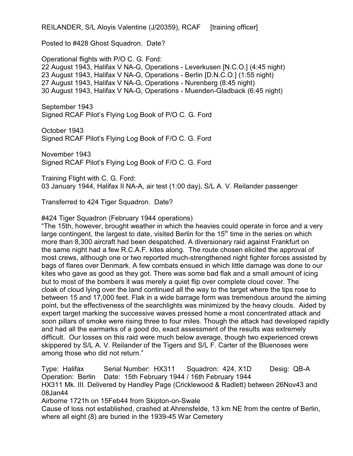REILANDER, S/L Aloyis Valentine (J/20359), RCAF [training officer]

Posted to #428 Ghost Squadron. Date?

Operational flights with P/O C. G. Ford: 22 August 1943, Halifax V NA-G, Operations - Leverkusen [N.C.O.] (4:45 night) 23 August 1943, Halifax V NA-G, Operations - Berlin [D.N.C.O.] (1:55 night) 27 August 1943, Halifax V NA-G, Operations - Nurenberg (8:45 night) 30 August 1943, Halifax V NA-G, Operations - Muenden-Gladback (6:45 night)

September 1943 Signed RCAF Pilot's Flying Log Book of P/O C. G. Ford

October 1943 Signed RCAF Pilot's Flying Log Book of F/O C. G. Ford

November 1943 Signed RCAF Pilot's Flying Log Book of F/O C. G. Ford

Training Flight with C. G. Ford: 03 January 1944, Halifax II NA-A, air test (1:00 day), S/L A. V. Reilander passenger

Transferred to 424 Tiger Squadron. Date?

#424 Tiger Squadron (February 1944 operations)

"The 15th, however, brought weather in which the heavies could operate in force and a very large contingent, the largest to date, visited Berlin for the  $15<sup>th</sup>$  time in the series on which more than 8,300 aircraft had been despatched. A diversionary raid against Frankfurt on the same night had a few R.C.A.F. kites along. The route chosen elicited the approval of most crews, although one or two reported much-strengthened night fighter forces assisted by bags of flares over Denmark. A few combats ensued in which little damage was done to our kites who gave as good as they got. There was some bad flak and a small amount of icing but to most of the bombers it was merely a quiet flip over complete cloud cover. The cloak of cloud lying over the land continued all the way to the target where the tips rose to between 15 and 17,000 feet. Flak in a wide barrage form was tremendous around the aiming point, but the effectiveness of the searchlights was minimized by the heavy clouds. Aided by expert target marking the successive waves pressed home a most concentrated attack and soon pillars of smoke were rising three to four miles. Though the attack had developed rapidly and had all the earmarks of a good do, exact assessment of the results was extremely difficult. Our losses on this raid were much below average, though two experienced crews skippered by S/L A. V. Reilander of the Tigers and S/L F. Carter of the Bluenoses were among those who did not return."

Type: Halifax Serial Number: HX311 Squadron: 424, X1D Desig: QB-A Operation: Berlin Date: 15th February 1944 / 16th February 1944 HX311 Mk. III. Delivered by Handley Page (Cricklewood & Radlett) between 26Nov43 and 08Jan44 Airborne 1721h on 15Feb44 from Skipton-on-Swale Cause of loss not established, crashed at Ahrensfelde, 13 km NE from the centre of Berlin,

where all eight (8) are buried in the 1939-45 War Cemetery